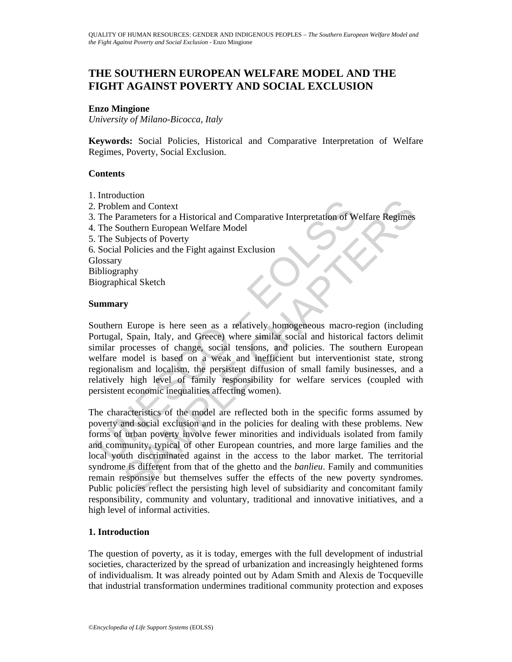# **THE SOUTHERN EUROPEAN WELFARE MODEL AND THE FIGHT AGAINST POVERTY AND SOCIAL EXCLUSION**

### **Enzo Mingione**

*University of Milano-Bicocca, Italy* 

**Keywords:** Social Policies, Historical and Comparative Interpretation of Welfare Regimes, Poverty, Social Exclusion.

## **Contents**

- 1. Introduction
- 2. Problem and Context
- 3. The Parameters for a Historical and Comparative Interpretation of Welfare Regimes
- 4. The Southern European Welfare Model
- 5. The Subjects of Poverty
- 6. Social Policies and the Fight against Exclusion

**Glossary** 

Bibliography

Biographical Sketch

### **Summary**

Problem and Context<br>
The Parameters for a Historical and Comparative Interpretation of W<br>
The Suuthern European Welfare Model<br>
The Subjects of Poverty<br>
Social Policies and the Fight against Exclusion<br>
ilosgraphy<br>
iographic Southern Europe is here seen as a relatively homogeneous macro-region (including Portugal, Spain, Italy, and Greece) where similar social and historical factors delimit similar processes of change, social tensions, and policies. The southern European welfare model is based on a weak and inefficient but interventionist state, strong regionalism and localism, the persistent diffusion of small family businesses, and a relatively high level of family responsibility for welfare services (coupled with persistent economic inequalities affecting women).

Learn and Context<br>
and Montext<br>
and Montext<br>
and Montext<br>
and Context and Comparative Interpretation of Welfare Regimes<br>
ubjects of Poverty<br>
policies and the Fight against Exclusion<br>
subjects of Poverty<br>
Policies and the F The characteristics of the model are reflected both in the specific forms assumed by poverty and social exclusion and in the policies for dealing with these problems. New forms of urban poverty involve fewer minorities and individuals isolated from family and community, typical of other European countries, and more large families and the local youth discriminated against in the access to the labor market. The territorial syndrome is different from that of the ghetto and the *banlieu*. Family and communities remain responsive but themselves suffer the effects of the new poverty syndromes. Public policies reflect the persisting high level of subsidiarity and concomitant family responsibility, community and voluntary, traditional and innovative initiatives, and a high level of informal activities.

# **1. Introduction**

The question of poverty, as it is today, emerges with the full development of industrial societies, characterized by the spread of urbanization and increasingly heightened forms of individualism. It was already pointed out by Adam Smith and Alexis de Tocqueville that industrial transformation undermines traditional community protection and exposes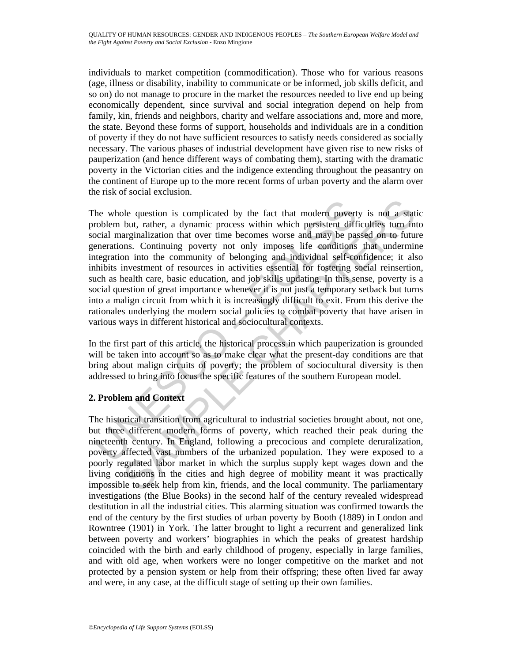individuals to market competition (commodification). Those who for various reasons (age, illness or disability, inability to communicate or be informed, job skills deficit, and so on) do not manage to procure in the market the resources needed to live end up being economically dependent, since survival and social integration depend on help from family, kin, friends and neighbors, charity and welfare associations and, more and more, the state. Beyond these forms of support, households and individuals are in a condition of poverty if they do not have sufficient resources to satisfy needs considered as socially necessary. The various phases of industrial development have given rise to new risks of pauperization (and hence different ways of combating them), starting with the dramatic poverty in the Victorian cities and the indigence extending throughout the peasantry on the continent of Europe up to the more recent forms of urban poverty and the alarm over the risk of social exclusion.

he whole question is complicated by the fact that modern povert<br>roblem but, rather, a dynamic process within which persistent diff<br>orial marginalization that over time becomes worse and may be pay<br>enerations. Continuing po ble question is complicated by the fact that modern poverty is not a statiout, rather, a dynamic process within which persistent difficulties turn in arginalization that over time becomes worse and may be passed on to futu The whole question is complicated by the fact that modern poverty is not a static problem but, rather, a dynamic process within which persistent difficulties turn into social marginalization that over time becomes worse and may be passed on to future generations. Continuing poverty not only imposes life conditions that undermine integration into the community of belonging and individual self-confidence; it also inhibits investment of resources in activities essential for fostering social reinsertion, such as health care, basic education, and job skills updating. In this sense, poverty is a social question of great importance whenever it is not just a temporary setback but turns into a malign circuit from which it is increasingly difficult to exit. From this derive the rationales underlying the modern social policies to combat poverty that have arisen in various ways in different historical and sociocultural contexts.

In the first part of this article, the historical process in which pauperization is grounded will be taken into account so as to make clear what the present-day conditions are that bring about malign circuits of poverty; the problem of sociocultural diversity is then addressed to bring into focus the specific features of the southern European model.

# **2. Problem and Context**

The historical transition from agricultural to industrial societies brought about, not one, but three different modern forms of poverty, which reached their peak during the nineteenth century. In England, following a precocious and complete deruralization, poverty affected vast numbers of the urbanized population. They were exposed to a poorly regulated labor market in which the surplus supply kept wages down and the living conditions in the cities and high degree of mobility meant it was practically impossible to seek help from kin, friends, and the local community. The parliamentary investigations (the Blue Books) in the second half of the century revealed widespread destitution in all the industrial cities. This alarming situation was confirmed towards the end of the century by the first studies of urban poverty by Booth (1889) in London and Rowntree (1901) in York. The latter brought to light a recurrent and generalized link between poverty and workers' biographies in which the peaks of greatest hardship coincided with the birth and early childhood of progeny, especially in large families, and with old age, when workers were no longer competitive on the market and not protected by a pension system or help from their offspring; these often lived far away and were, in any case, at the difficult stage of setting up their own families.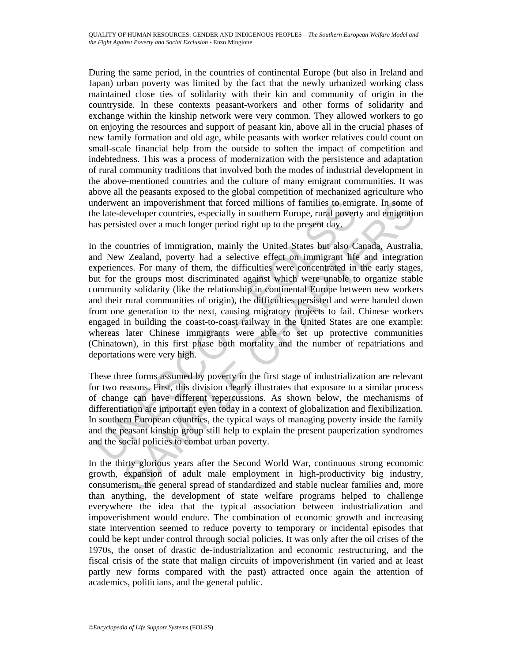During the same period, in the countries of continental Europe (but also in Ireland and Japan) urban poverty was limited by the fact that the newly urbanized working class maintained close ties of solidarity with their kin and community of origin in the countryside. In these contexts peasant-workers and other forms of solidarity and exchange within the kinship network were very common. They allowed workers to go on enjoying the resources and support of peasant kin, above all in the crucial phases of new family formation and old age, while peasants with worker relatives could count on small-scale financial help from the outside to soften the impact of competition and indebtedness. This was a process of modernization with the persistence and adaptation of rural community traditions that involved both the modes of industrial development in the above-mentioned countries and the culture of many emigrant communities. It was above all the peasants exposed to the global competition of mechanized agriculture who underwent an impoverishment that forced millions of families to emigrate. In some of the late-developer countries, especially in southern Europe, rural poverty and emigration has persisted over a much longer period right up to the present day.

material and impoverishment that forced millions of families to emigret and the late-developer countries, especially in southern Europe, rural poverty as persisted over a much longer period right up to the present day.<br>
Th In an impoverishment that forced millions of families to emigrate. In some teveloper countries, especially in southern Europe, rural powerty and emigratio over a much longer period rigit up to the present day.<br>
Wuntries of In the countries of immigration, mainly the United States but also Canada, Australia, and New Zealand, poverty had a selective effect on immigrant life and integration experiences. For many of them, the difficulties were concentrated in the early stages, but for the groups most discriminated against which were unable to organize stable community solidarity (like the relationship in continental Europe between new workers and their rural communities of origin), the difficulties persisted and were handed down from one generation to the next, causing migratory projects to fail. Chinese workers engaged in building the coast-to-coast railway in the United States are one example: whereas later Chinese immigrants were able to set up protective communities (Chinatown), in this first phase both mortality and the number of repatriations and deportations were very high.

These three forms assumed by poverty in the first stage of industrialization are relevant for two reasons. First, this division clearly illustrates that exposure to a similar process of change can have different repercussions. As shown below, the mechanisms of differentiation are important even today in a context of globalization and flexibilization. In southern European countries, the typical ways of managing poverty inside the family and the peasant kinship group still help to explain the present pauperization syndromes and the social policies to combat urban poverty.

In the thirty glorious years after the Second World War, continuous strong economic growth, expansion of adult male employment in high-productivity big industry, consumerism, the general spread of standardized and stable nuclear families and, more than anything, the development of state welfare programs helped to challenge everywhere the idea that the typical association between industrialization and impoverishment would endure. The combination of economic growth and increasing state intervention seemed to reduce poverty to temporary or incidental episodes that could be kept under control through social policies. It was only after the oil crises of the 1970s, the onset of drastic de-industrialization and economic restructuring, and the fiscal crisis of the state that malign circuits of impoverishment (in varied and at least partly new forms compared with the past) attracted once again the attention of academics, politicians, and the general public.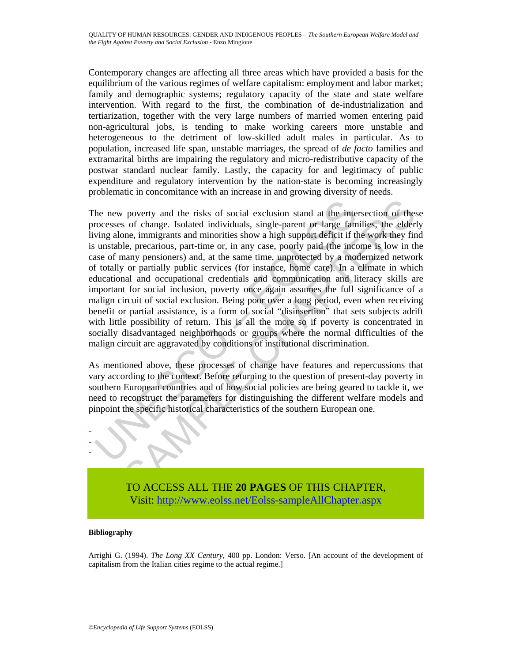Contemporary changes are affecting all three areas which have provided a basis for the equilibrium of the various regimes of welfare capitalism: employment and labor market; family and demographic systems; regulatory capacity of the state and state welfare intervention. With regard to the first, the combination of de-industrialization and tertiarization, together with the very large numbers of married women entering paid non-agricultural jobs, is tending to make working careers more unstable and heterogeneous to the detriment of low-skilled adult males in particular. As to population, increased life span, unstable marriages, the spread of *de facto* families and extramarital births are impairing the regulatory and micro-redistributive capacity of the postwar standard nuclear family. Lastly, the capacity for and legitimacy of public expenditure and regulatory intervention by the nation-state is becoming increasingly problematic in concomitance with an increase in and growing diversity of needs.

he new poverty and the risks of social exclusion stand at the intercocesses of change. Isolated individuals, single-parent or large family alone, immigrants and minorities show a high support deficit if the unstable, preca poverty and the risks of social exclusion stand at the intersection of these of change. Isolated individuals, single-parent or large families, the elderline, immigrants and minorities show a high support deficit if the wor The new poverty and the risks of social exclusion stand at the intersection of these processes of change. Isolated individuals, single-parent or large families, the elderly living alone, immigrants and minorities show a high support deficit if the work they find is unstable, precarious, part-time or, in any case, poorly paid (the income is low in the case of many pensioners) and, at the same time, unprotected by a modernized network of totally or partially public services (for instance, home care). In a climate in which educational and occupational credentials and communication and literacy skills are important for social inclusion, poverty once again assumes the full significance of a malign circuit of social exclusion. Being poor over a long period, even when receiving benefit or partial assistance, is a form of social "disinsertion" that sets subjects adrift with little possibility of return. This is all the more so if poverty is concentrated in socially disadvantaged neighborhoods or groups where the normal difficulties of the malign circuit are aggravated by conditions of institutional discrimination.

As mentioned above, these processes of change have features and repercussions that vary according to the context. Before returning to the question of present-day poverty in southern European countries and of how social policies are being geared to tackle it, we need to reconstruct the parameters for distinguishing the different welfare models and pinpoint the specific historical characteristics of the southern European one.



TO ACCESS ALL THE **20 PAGES** OF THIS CHAPTER, Visit[: http://www.eolss.net/Eolss-sampleAllChapter.aspx](https://www.eolss.net/ebooklib/sc_cart.aspx?File=E1-17-06)

#### **Bibliography**

Arrighi G. (1994). *The Long XX Century*, 400 pp. London: Verso. [An account of the development of capitalism from the Italian cities regime to the actual regime.]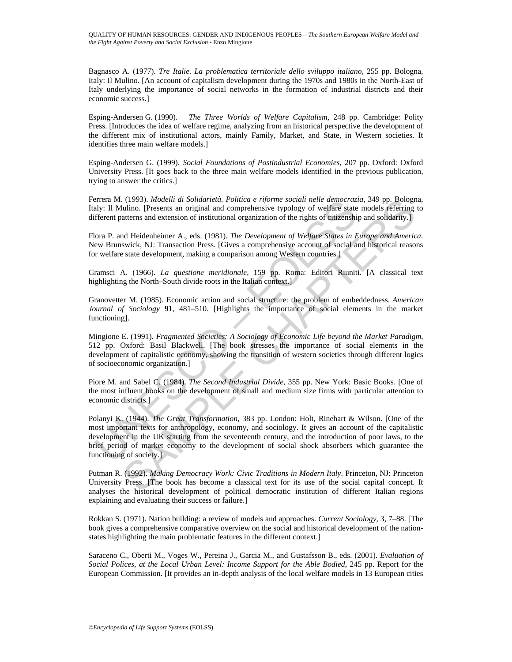Bagnasco A. (1977). *Tre Italie. La problematica territoriale dello sviluppo italiano*, 255 pp. Bologna, Italy: Il Mulino. [An account of capitalism development during the 1970s and 1980s in the North-East of Italy underlying the importance of social networks in the formation of industrial districts and their economic success.]

Esping-Andersen G. (1990). *The Three Worlds of Welfare Capitalism*, 248 pp. Cambridge: Polity Press. [Introduces the idea of welfare regime, analyzing from an historical perspective the development of the different mix of institutional actors, mainly Family, Market, and State, in Western societies. It identifies three main welfare models.]

Esping-Andersen G. (1999). *Social Foundations of Postindustrial Economies*, 207 pp. Oxford: Oxford University Press. [It goes back to the three main welfare models identified in the previous publication, trying to answer the critics.]

Ferrera M. (1993). *Modelli di Solidarietà. Politica e riforme sociali nelle democrazia*, 349 pp. Bologna, Italy: Il Mulino. [Presents an original and comprehensive typology of welfare state models referring to different patterns and extension of institutional organization of the rights of citizenship and solidarity.]

Flora P. and Heidenheimer A., eds. (1981). *The Development of Welfare States in Europe and America*. New Brunswick, NJ: Transaction Press. [Gives a comprehensive account of social and historical reasons for welfare state development, making a comparison among Western countries.]

Gramsci A. (1966). *La questione meridionale*, 159 pp. Roma: Editori Riuniti. [A classical text highlighting the North–South divide roots in the Italian context.

Granovetter M. (1985). Economic action and social structure: the problem of embeddedness. *American Journal of Sociology* **91**, 481–510. [Highlights the importance of social elements in the market functioning].

Mingione E. (1991). *Fragmented Societies: A Sociology of Economic Life beyond the Market Paradigm*, 512 pp. Oxford: Basil Blackwell. [The book stresses the importance of social elements in the development of capitalistic economy, showing the transition of western societies through different logics of socioeconomic organization.]

Piore M. and Sabel C. (1984). *The Second Industrial Divide*, 355 pp. New York: Basic Books. [One of the most influent books on the development of small and medium size firms with particular attention to economic districts.]

errera Mr. (1993). *Modelul al solutarial. Political eripome social neule democrazie.*<br>Hy: Il Mulino. [Presents an original and comprehensive typology of welfare state<br>freent patterns and extension of institutional organiz (1993). *Modelli di Solidatiral. Politica e riporne sociali nelle democrazia,* 349 pp. Bologny<br>
indino. [Presents an original and comprehensive typology of welfare state models petering<br>
atterns and extension of instituti Polanyi K. (1944). *The Great Transformation*, 383 pp. London: Holt, Rinehart & Wilson. [One of the most important texts for anthropology, economy, and sociology. It gives an account of the capitalistic development in the UK starting from the seventeenth century, and the introduction of poor laws, to the brief period of market economy to the development of social shock absorbers which guarantee the functioning of society.]

Putman R. (1992). *Making Democracy Work: Civic Traditions in Modern Italy*. Princeton, NJ: Princeton University Press. [The book has become a classical text for its use of the social capital concept. It analyses the historical development of political democratic institution of different Italian regions explaining and evaluating their success or failure.]

Rokkan S. (1971). Nation building: a review of models and approaches. *Current Sociology*, 3, 7–88. [The book gives a comprehensive comparative overview on the social and historical development of the nationstates highlighting the main problematic features in the different context.]

Saraceno C., Oberti M., Voges W., Pereina J., Garcia M., and Gustafsson B., eds. (2001). *Evaluation of Social Polices, at the Local Urban Level: Income Support for the Able Bodied*, 245 pp. Report for the European Commission. [It provides an in-depth analysis of the local welfare models in 13 European cities